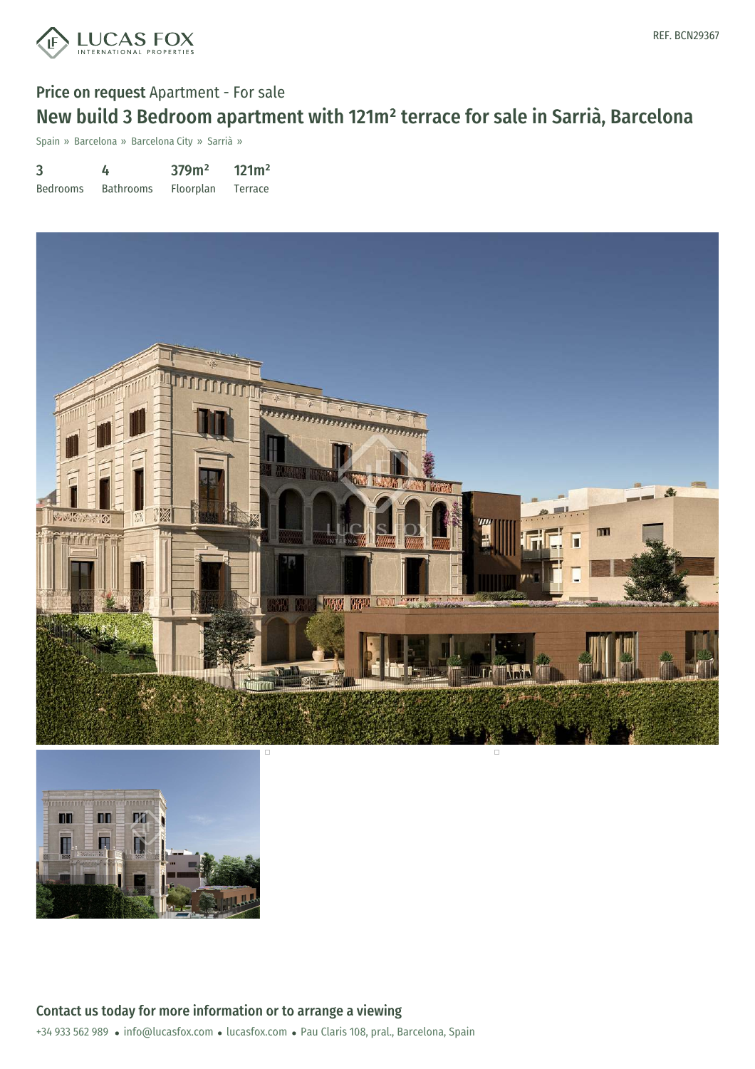

# Price on request Apartment - For sale New build 3 Bedroom apartment with 121m² terrace for sale in Sarrià, Barcelona

Spain » Barcelona » Barcelona City » Sarrià »

| 3               | 4                | 379m <sup>2</sup> | 121m <sup>2</sup> |
|-----------------|------------------|-------------------|-------------------|
| <b>Bedrooms</b> | <b>Bathrooms</b> | Floorplan         | Terrace           |



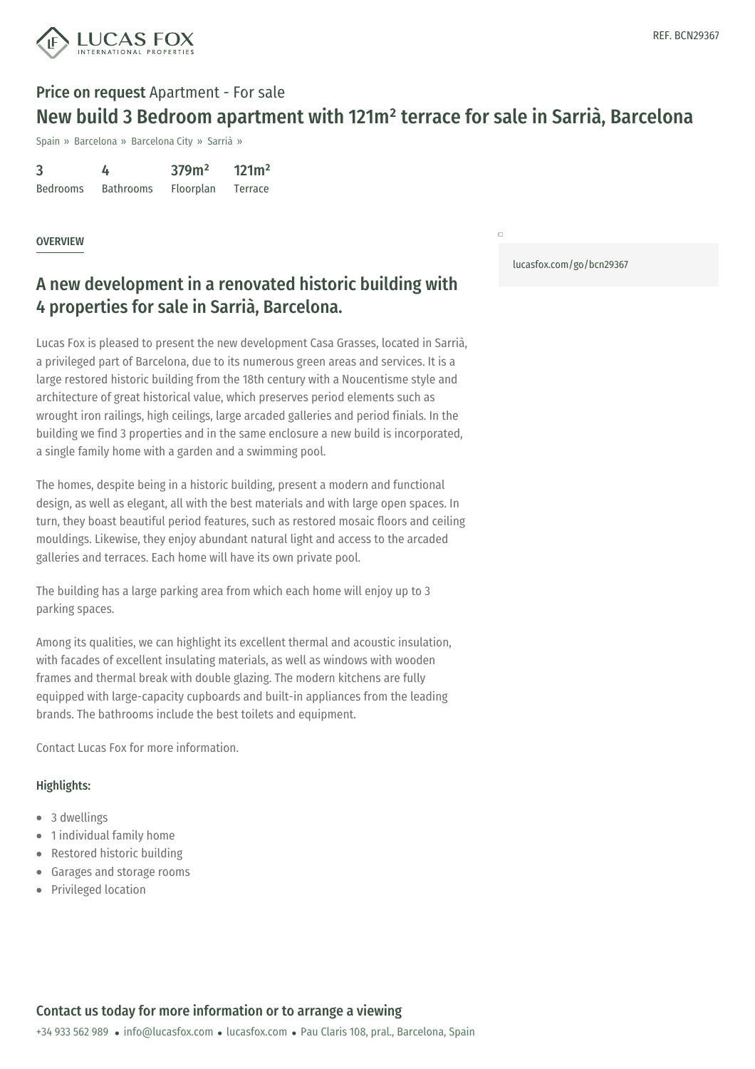

# Price on request Apartment - For sale New build 3 Bedroom apartment with 121m² terrace for sale in Sarrià, Barcelona

Spain » Barcelona » Barcelona City » Sarrià »

| 3               | 4                | 379m <sup>2</sup> | 121m <sup>2</sup> |
|-----------------|------------------|-------------------|-------------------|
| <b>Bedrooms</b> | <b>Bathrooms</b> | Floorplan         | Terrace           |

#### **OVERVIEW**

# A new development in a renovated historic building with 4 properties for sale in Sarrià, Barcelona.

Lucas Fox is pleased to present the new development Casa Grasses, located in Sarrià, a privileged part of Barcelona, due to its numerous green areas and services. It is a large restored historic building from the 18th century with a Noucentisme style and architecture of great historical value, which preserves period elements such as wrought iron railings, high ceilings, large arcaded galleries and period finials. In the building we find 3 properties and in the same enclosure a new build is incorporated, a single family home with a garden and a swimming pool.

The homes, despite being in a historic building, present a modern and functional design, as well as elegant, all with the best materials and with large open spaces. In turn, they boast beautiful period features, such as restored mosaic floors and ceiling mouldings. Likewise, they enjoy abundant natural light and access to the arcaded galleries and terraces. Each home will have its own private pool.

The building has a large parking area from which each home will enjoy up to 3 parking spaces.

Among its qualities, we can highlight its excellent thermal and acoustic insulation, with facades of excellent insulating materials, as well as windows with wooden frames and thermal break with double glazing. The modern kitchens are fully equipped with large-capacity cupboards and built-in appliances from the leading brands. The bathrooms include the best toilets and equipment.

Contact Lucas Fox for more information.

#### Highlights:

- 3 dwellings
- 1 individual family home
- Restored historic building
- Garages and storage rooms  $\bullet$
- Privileged location

[lucasfox.com/go/bcn29367](https://www.lucasfox.com/go/bcn29367)

 $\overline{a}$